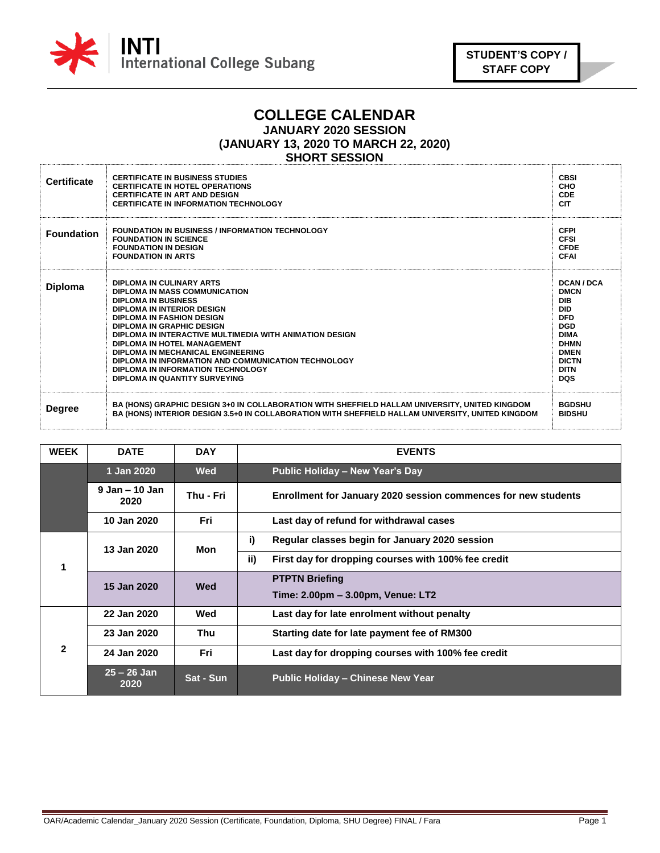

## **COLLEGE CALENDAR**

**JANUARY 2020 SESSION**

**(JANUARY 13, 2020 TO MARCH 22, 2020)**

### **SHORT SESSION**

| <b>Certificate</b> | <b>CERTIFICATE IN BUSINESS STUDIES</b><br><b>CERTIFICATE IN HOTEL OPERATIONS</b><br><b>CERTIFICATE IN ART AND DESIGN</b><br><b>CERTIFICATE IN INFORMATION TECHNOLOGY</b>                                                                                                                                                                                                                                                                    | <b>CBSI</b><br>CHO<br><b>CDE</b><br><b>CIT</b>                                                                                                                                     |
|--------------------|---------------------------------------------------------------------------------------------------------------------------------------------------------------------------------------------------------------------------------------------------------------------------------------------------------------------------------------------------------------------------------------------------------------------------------------------|------------------------------------------------------------------------------------------------------------------------------------------------------------------------------------|
| <b>Foundation</b>  | <b>FOUNDATION IN BUSINESS / INFORMATION TECHNOLOGY</b><br><b>FOUNDATION IN SCIENCE</b><br><b>FOUNDATION IN DESIGN</b><br><b>FOUNDATION IN ARTS</b>                                                                                                                                                                                                                                                                                          | <b>CFPI</b><br><b>CFSI</b><br><b>CFDE</b><br><b>CFAI</b>                                                                                                                           |
| <b>Diploma</b>     | DIPLOMA IN CULINARY ARTS<br>DIPLOMA IN MASS COMMUNICATION<br><b>DIPLOMA IN BUSINESS</b><br>DIPLOMA IN INTERIOR DESIGN<br>DIPLOMA IN FASHION DESIGN<br>DIPLOMA IN GRAPHIC DESIGN<br>DIPLOMA IN INTERACTIVE MULTIMEDIA WITH ANIMATION DESIGN<br>DIPLOMA IN HOTEL MANAGEMENT<br>DIPLOMA IN MECHANICAL ENGINEERING<br>DIPLOMA IN INFORMATION AND COMMUNICATION TECHNOLOGY<br>DIPLOMA IN INFORMATION TECHNOLOGY<br>DIPLOMA IN QUANTITY SURVEYING | <b>DCAN / DCA</b><br><b>DMCN</b><br><b>DIB</b><br><b>DID</b><br><b>DFD</b><br><b>DGD</b><br><b>DIMA</b><br><b>DHMN</b><br><b>DMEN</b><br><b>DICTN</b><br><b>DITN</b><br><b>DQS</b> |
| <b>Degree</b>      | BA (HONS) GRAPHIC DESIGN 3+0 IN COLLABORATION WITH SHEFFIELD HALLAM UNIVERSITY, UNITED KINGDOM<br>BA (HONS) INTERIOR DESIGN 3.5+0 IN COLLABORATION WITH SHEFFIELD HALLAM UNIVERSITY, UNITED KINGDOM                                                                                                                                                                                                                                         | <b>BGDSHU</b><br><b>BIDSHU</b>                                                                                                                                                     |

| <b>WEEK</b>  | <b>DATE</b>                | <b>DAY</b> | <b>EVENTS</b>                                                  |
|--------------|----------------------------|------------|----------------------------------------------------------------|
|              | 1 Jan 2020                 | <b>Wed</b> | Public Holiday - New Year's Day                                |
|              | $9$ Jan $-$ 10 Jan<br>2020 | Thu - Fri  | Enrollment for January 2020 session commences for new students |
|              | 10 Jan 2020                | Fri        | Last day of refund for withdrawal cases                        |
| 1            | 13 Jan 2020                | Mon        | i)<br>Regular classes begin for January 2020 session           |
|              |                            |            | ii)<br>First day for dropping courses with 100% fee credit     |
|              | 15 Jan 2020                | <b>Wed</b> | <b>PTPTN Briefing</b>                                          |
|              |                            |            | Time: 2.00pm – 3.00pm, Venue: LT2                              |
| $\mathbf{2}$ | 22 Jan 2020                | Wed        | Last day for late enrolment without penalty                    |
|              | 23 Jan 2020                | Thu        | Starting date for late payment fee of RM300                    |
|              | 24 Jan 2020                | Fri        | Last day for dropping courses with 100% fee credit             |
|              | $25 - 26$ Jan<br>2020      | Sat - Sun  | <b>Public Holiday - Chinese New Year</b>                       |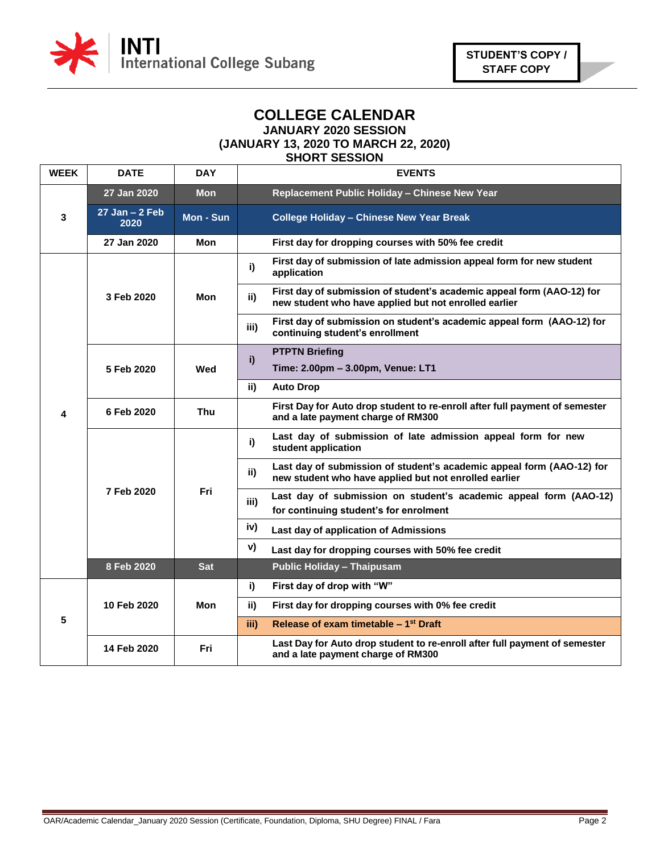

## **COLLEGE CALENDAR JANUARY 2020 SESSION**

**(JANUARY 13, 2020 TO MARCH 22, 2020)**

### **SHORT SESSION**

| <b>WEEK</b> | <b>DATE</b>               | <b>DAY</b> | <b>EVENTS</b>                                                                                                                          |                                                                                           |                                                                                                                     |
|-------------|---------------------------|------------|----------------------------------------------------------------------------------------------------------------------------------------|-------------------------------------------------------------------------------------------|---------------------------------------------------------------------------------------------------------------------|
| 3           | 27 Jan 2020               | <b>Mon</b> | Replacement Public Holiday - Chinese New Year                                                                                          |                                                                                           |                                                                                                                     |
|             | $27$ Jan $-2$ Feb<br>2020 | Mon - Sun  | <b>College Holiday - Chinese New Year Break</b>                                                                                        |                                                                                           |                                                                                                                     |
|             | 27 Jan 2020               | Mon        | First day for dropping courses with 50% fee credit                                                                                     |                                                                                           |                                                                                                                     |
|             | 3 Feb 2020                |            |                                                                                                                                        |                                                                                           | First day of submission of late admission appeal form for new student<br>i)<br>application                          |
|             |                           | Mon        | First day of submission of student's academic appeal form (AAO-12) for<br>ii)<br>new student who have applied but not enrolled earlier |                                                                                           |                                                                                                                     |
|             |                           |            | First day of submission on student's academic appeal form (AAO-12) for<br>iii)<br>continuing student's enrollment                      |                                                                                           |                                                                                                                     |
|             | 5 Feb 2020                | Wed        | <b>PTPTN Briefing</b>                                                                                                                  |                                                                                           |                                                                                                                     |
|             |                           |            | i)<br>Time: 2.00pm - 3.00pm, Venue: LT1                                                                                                |                                                                                           |                                                                                                                     |
|             |                           |            | ii)<br><b>Auto Drop</b>                                                                                                                |                                                                                           |                                                                                                                     |
| 4           | 6 Feb 2020                | <b>Thu</b> | First Day for Auto drop student to re-enroll after full payment of semester<br>and a late payment charge of RM300                      |                                                                                           |                                                                                                                     |
|             | 7 Feb 2020                | Fri        |                                                                                                                                        | Last day of submission of late admission appeal form for new<br>i)<br>student application |                                                                                                                     |
|             |                           |            | Last day of submission of student's academic appeal form (AAO-12) for<br>ii)<br>new student who have applied but not enrolled earlier  |                                                                                           |                                                                                                                     |
|             |                           |            |                                                                                                                                        |                                                                                           | Last day of submission on student's academic appeal form (AAO-12)<br>iii)<br>for continuing student's for enrolment |
|             |                           |            | iv)                                                                                                                                    |                                                                                           |                                                                                                                     |
|             |                           |            | v)<br>Last day for dropping courses with 50% fee credit                                                                                |                                                                                           |                                                                                                                     |
|             | 8 Feb 2020                | <b>Sat</b> | <b>Public Holiday - Thaipusam</b>                                                                                                      |                                                                                           |                                                                                                                     |
| 5           | 10 Feb 2020               | Mon        | i)<br>First day of drop with "W"                                                                                                       |                                                                                           |                                                                                                                     |
|             |                           |            | First day for dropping courses with 0% fee credit<br>ii)                                                                               |                                                                                           |                                                                                                                     |
|             |                           |            | Release of exam timetable - 1 <sup>st</sup> Draft<br>iii)                                                                              |                                                                                           |                                                                                                                     |
|             | 14 Feb 2020               | Fri        | Last Day for Auto drop student to re-enroll after full payment of semester<br>and a late payment charge of RM300                       |                                                                                           |                                                                                                                     |